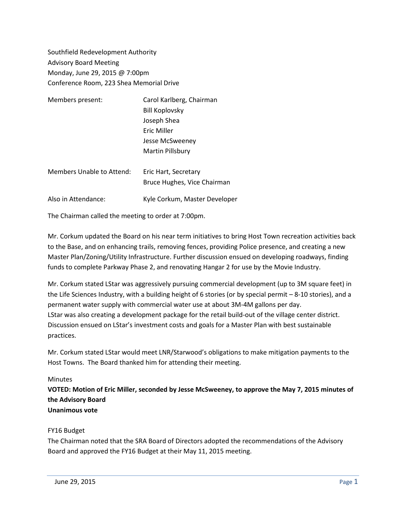Southfield Redevelopment Authority Advisory Board Meeting Monday, June 29, 2015 @ 7:00pm Conference Room, 223 Shea Memorial Drive

| Members present:          | Carol Karlberg, Chairman      |
|---------------------------|-------------------------------|
|                           | <b>Bill Koplovsky</b>         |
|                           | Joseph Shea                   |
|                           | Eric Miller                   |
|                           | Jesse McSweeney               |
|                           | Martin Pillsbury              |
| Members Unable to Attend: | Eric Hart, Secretary          |
|                           | Bruce Hughes, Vice Chairman   |
| Also in Attendance:       | Kyle Corkum, Master Developer |

The Chairman called the meeting to order at 7:00pm.

Mr. Corkum updated the Board on his near term initiatives to bring Host Town recreation activities back to the Base, and on enhancing trails, removing fences, providing Police presence, and creating a new Master Plan/Zoning/Utility Infrastructure. Further discussion ensued on developing roadways, finding funds to complete Parkway Phase 2, and renovating Hangar 2 for use by the Movie Industry.

Mr. Corkum stated LStar was aggressively pursuing commercial development (up to 3M square feet) in the Life Sciences Industry, with a building height of 6 stories (or by special permit – 8-10 stories), and a permanent water supply with commercial water use at about 3M-4M gallons per day. LStar was also creating a development package for the retail build-out of the village center district. Discussion ensued on LStar's investment costs and goals for a Master Plan with best sustainable practices.

Mr. Corkum stated LStar would meet LNR/Starwood's obligations to make mitigation payments to the Host Towns. The Board thanked him for attending their meeting.

## **Minutes**

**VOTED: Motion of Eric Miller, seconded by Jesse McSweeney, to approve the May 7, 2015 minutes of the Advisory Board Unanimous vote**

## FY16 Budget

The Chairman noted that the SRA Board of Directors adopted the recommendations of the Advisory Board and approved the FY16 Budget at their May 11, 2015 meeting.